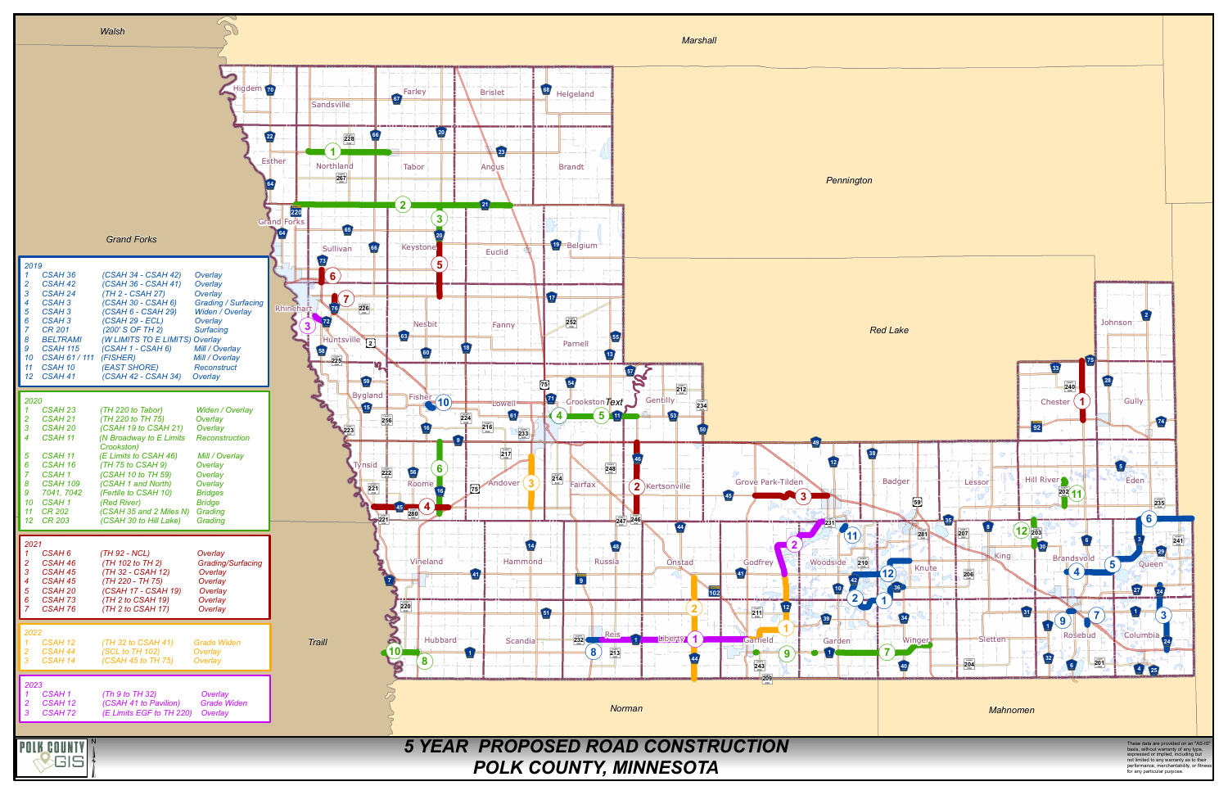

basis, without warranty of any type, expressed or implied, including but not limited to any warranty as to their performance, merchantability, or fitness for any particular purpose.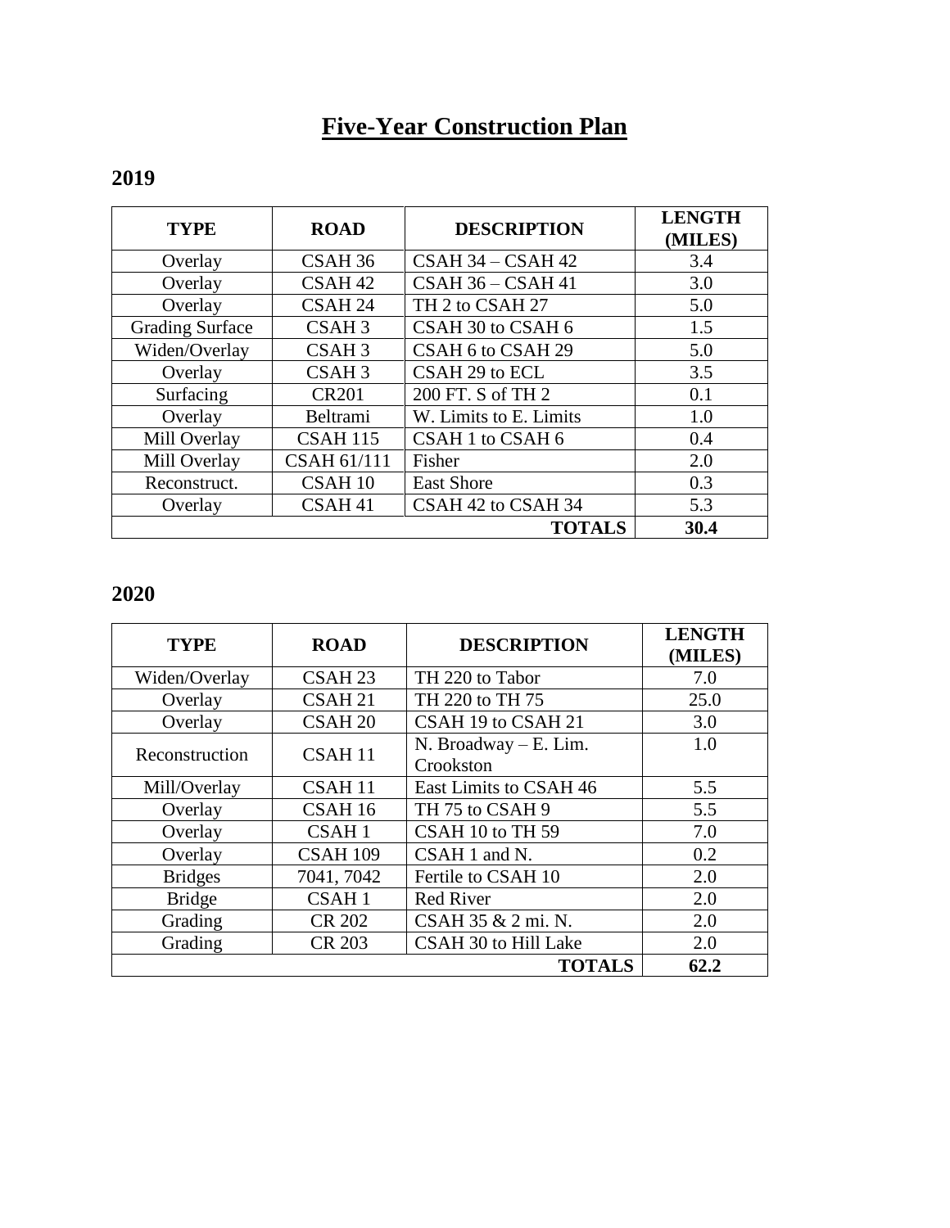# **Five-Year Construction Plan**

| <b>TYPE</b>            | <b>ROAD</b>        | <b>DESCRIPTION</b>     | <b>LENGTH</b><br>(MILES) |
|------------------------|--------------------|------------------------|--------------------------|
| Overlay                | CSAH 36            | CSAH 34 - CSAH 42      | 3.4                      |
| Overlay                | CSAH <sub>42</sub> | $CSAH36 - CSAH41$      | 3.0                      |
| Overlay                | CSAH <sub>24</sub> | TH 2 to CSAH 27        | 5.0                      |
| <b>Grading Surface</b> | CSAH <sub>3</sub>  | CSAH 30 to CSAH 6      | 1.5                      |
| Widen/Overlay          | CSAH <sub>3</sub>  | CSAH 6 to CSAH 29      | 5.0                      |
| Overlay                | CSAH <sub>3</sub>  | CSAH 29 to ECL         | 3.5                      |
| Surfacing              | <b>CR201</b>       | 200 FT. S of TH 2      | 0.1                      |
| Overlay                | Beltrami           | W. Limits to E. Limits | 1.0                      |
| Mill Overlay           | <b>CSAH 115</b>    | CSAH 1 to CSAH 6       | 0.4                      |
| Mill Overlay           | <b>CSAH 61/111</b> | Fisher                 | 2.0                      |
| Reconstruct.           | CSAH 10            | <b>East Shore</b>      | 0.3                      |
| Overlay                | CSAH <sub>41</sub> | CSAH 42 to CSAH 34     | 5.3                      |
|                        |                    | <b>TOTALS</b>          | 30.4                     |

### **2019**

## **2020**

| <b>TYPE</b>    | <b>ROAD</b>        | <b>DESCRIPTION</b>      | <b>LENGTH</b><br>(MILES) |
|----------------|--------------------|-------------------------|--------------------------|
| Widen/Overlay  | CSAH <sub>23</sub> | TH 220 to Tabor         | 7.0                      |
| Overlay        | CSAH <sub>21</sub> | TH 220 to TH 75         | 25.0                     |
| Overlay        | CSAH <sub>20</sub> | CSAH 19 to CSAH 21      | 3.0                      |
|                | CSAH <sub>11</sub> | $N.$ Broadway – E. Lim. | 1.0                      |
| Reconstruction |                    | Crookston               |                          |
| Mill/Overlay   | CSAH <sub>11</sub> | East Limits to CSAH 46  | 5.5                      |
| Overlay        | CSAH 16            | TH 75 to CSAH 9         | 5.5                      |
| Overlay        | CSAH <sub>1</sub>  | CSAH 10 to TH 59        | 7.0                      |
| Overlay        | <b>CSAH 109</b>    | CSAH 1 and N.           | 0.2                      |
| <b>Bridges</b> | 7041, 7042         | Fertile to CSAH 10      | 2.0                      |
| <b>Bridge</b>  | CSAH <sub>1</sub>  | <b>Red River</b>        | 2.0                      |
| Grading        | <b>CR 202</b>      | CSAH 35 & 2 mi. N.      | 2.0                      |
| Grading        | <b>CR 203</b>      | CSAH 30 to Hill Lake    | 2.0                      |
|                |                    | <b>TOTALS</b>           | 62.2                     |